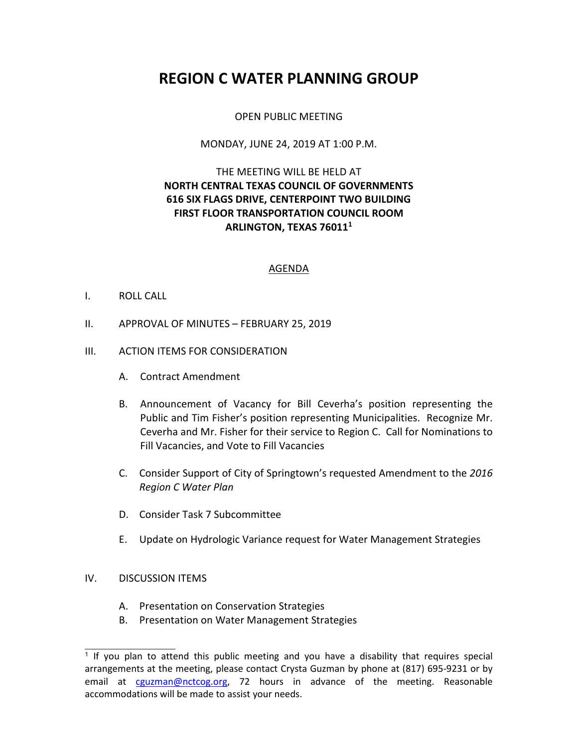# **REGION C WATER PLANNING GROUP**

# OPEN PUBLIC MEETING

#### MONDAY, JUNE 24, 2019 AT 1:00 P.M.

# THE MEETING WILL BE HELD AT **NORTH CENTRAL TEXAS COUNCIL OF GOVERNMENTS 616 SIX FLAGS DRIVE, CENTERPOINT TWO BUILDING FIRST FLOOR TRANSPORTATION COUNCIL ROOM ARLINGTON, TEXAS 76011<sup>1</sup>**

#### AGENDA

## I. ROLL CALL

II. APPROVAL OF MINUTES – FEBRUARY 25, 2019

## III. ACTION ITEMS FOR CONSIDERATION

- A. Contract Amendment
- B. Announcement of Vacancy for Bill Ceverha's position representing the Public and Tim Fisher's position representing Municipalities. Recognize Mr. Ceverha and Mr. Fisher for their service to Region C. Call for Nominations to Fill Vacancies, and Vote to Fill Vacancies
- C. Consider Support of City of Springtown's requested Amendment to the *2016 Region C Water Plan*
- D. Consider Task 7 Subcommittee
- E. Update on Hydrologic Variance request for Water Management Strategies

#### IV. DISCUSSION ITEMS

 $\overline{\phantom{a}}$  , where  $\overline{\phantom{a}}$ 

- A. Presentation on Conservation Strategies
- B. Presentation on Water Management Strategies

<sup>&</sup>lt;sup>1</sup> If you plan to attend this public meeting and you have a disability that requires special arrangements at the meeting, please contact Crysta Guzman by phone at (817) 695-9231 or by email at cguzman@nctcog.org, 72 hours in advance of the meeting. Reasonable accommodations will be made to assist your needs.